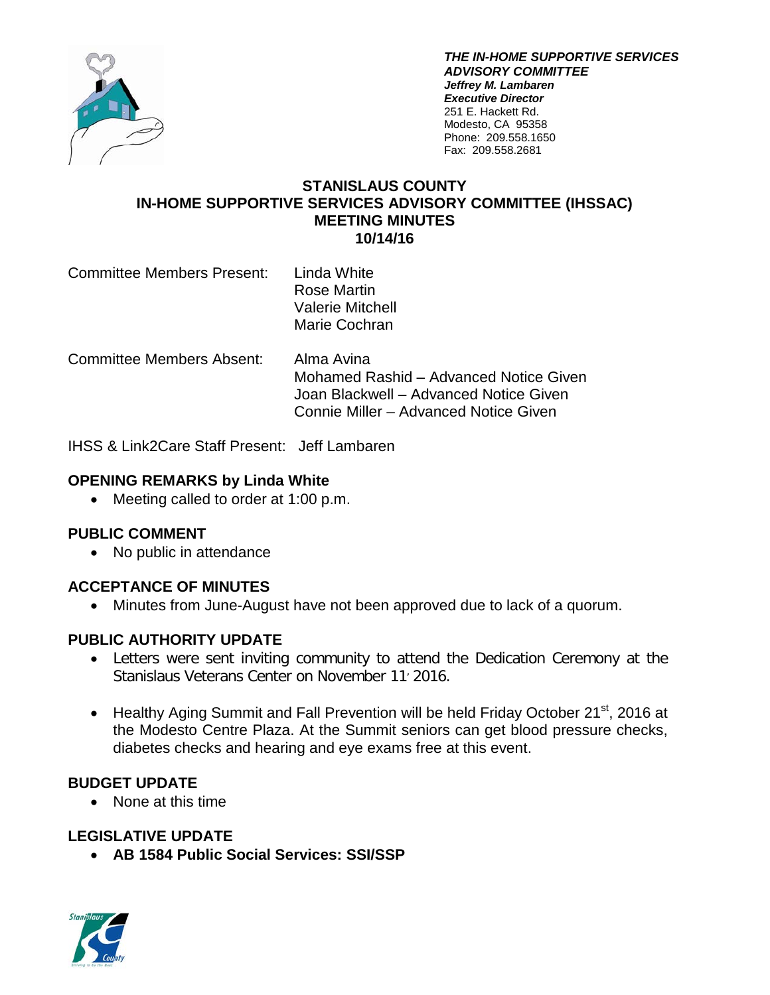

*THE IN-HOME SUPPORTIVE SERVICES ADVISORY COMMITTEE Jeffrey M. Lambaren Executive Director* 251 E. Hackett Rd. Modesto, CA 95358 Phone: 209.558.1650 Fax: 209.558.2681

#### **STANISLAUS COUNTY IN-HOME SUPPORTIVE SERVICES ADVISORY COMMITTEE (IHSSAC) MEETING MINUTES 10/14/16**

Committee Members Present: Linda White Rose Martin Valerie Mitchell Marie Cochran

Committee Members Absent: Alma Avina Mohamed Rashid – Advanced Notice Given Joan Blackwell – Advanced Notice Given Connie Miller – Advanced Notice Given

IHSS & Link2Care Staff Present: Jeff Lambaren

### **OPENING REMARKS by Linda White**

• Meeting called to order at 1:00 p.m.

### **PUBLIC COMMENT**

• No public in attendance

### **ACCEPTANCE OF MINUTES**

• Minutes from June-August have not been approved due to lack of a quorum.

### **PUBLIC AUTHORITY UPDATE**

- Letters were sent inviting community to attend the Dedication Ceremony at the Stanislaus Veterans Center on November 11<sup>'</sup> 2016.
- Healthy Aging Summit and Fall Prevention will be held Friday October 21<sup>st</sup>, 2016 at the Modesto Centre Plaza. At the Summit seniors can get blood pressure checks, diabetes checks and hearing and eye exams free at this event.

## **BUDGET UPDATE**

• None at this time

## **LEGISLATIVE UPDATE**

• **AB 1584 Public Social Services: SSI/SSP** 

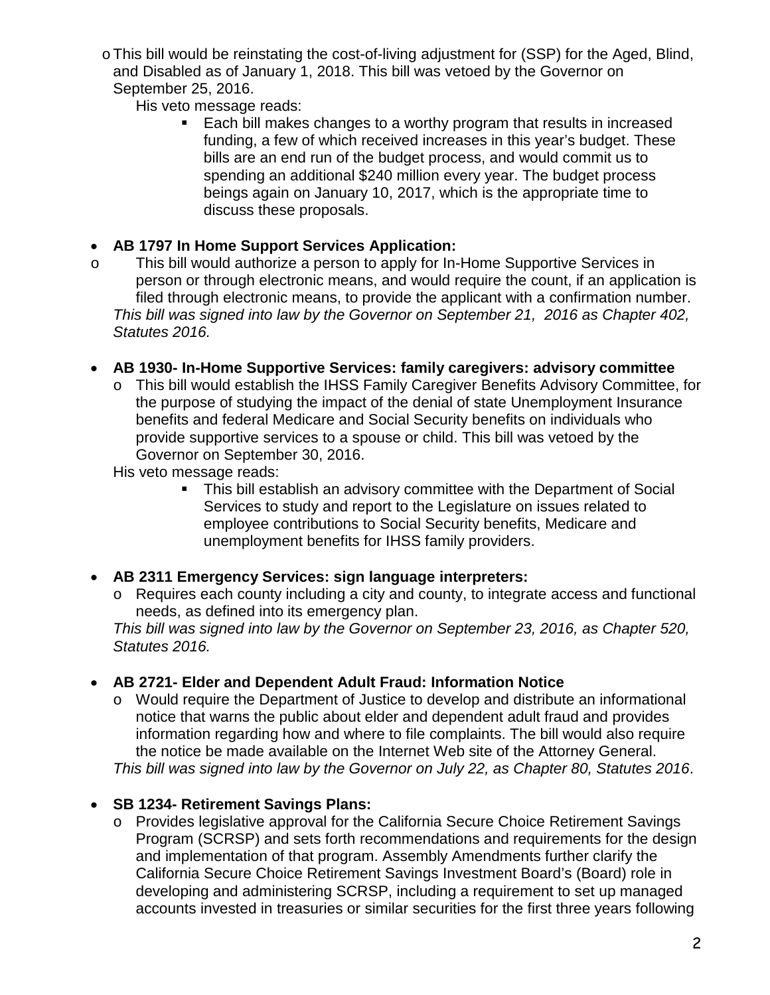oThis bill would be reinstating the cost-of-living adjustment for (SSP) for the Aged, Blind, and Disabled as of January 1, 2018. This bill was vetoed by the Governor on September 25, 2016.

His veto message reads:

 Each bill makes changes to a worthy program that results in increased funding, a few of which received increases in this year's budget. These bills are an end run of the budget process, and would commit us to spending an additional \$240 million every year. The budget process beings again on January 10, 2017, which is the appropriate time to discuss these proposals.

## • **AB 1797 In Home Support Services Application:**

o This bill would authorize a person to apply for In-Home Supportive Services in person or through electronic means, and would require the count, if an application is filed through electronic means, to provide the applicant with a confirmation number. *This bill was signed into law by the Governor on September 21, 2016 as Chapter 402, Statutes 2016.*

## • **AB 1930- In-Home Supportive Services: family caregivers: advisory committee**

o This bill would establish the IHSS Family Caregiver Benefits Advisory Committee, for the purpose of studying the impact of the denial of state Unemployment Insurance benefits and federal Medicare and Social Security benefits on individuals who provide supportive services to a spouse or child. This bill was vetoed by the Governor on September 30, 2016.

His veto message reads:

 This bill establish an advisory committee with the Department of Social Services to study and report to the Legislature on issues related to employee contributions to Social Security benefits, Medicare and unemployment benefits for IHSS family providers.

# • **AB 2311 Emergency Services: sign language interpreters:**

o Requires each county including a city and county, to integrate access and functional needs, as defined into its emergency plan.

*This bill was signed into law by the Governor on September 23, 2016, as Chapter 520, Statutes 2016.*

# • **AB 2721- Elder and Dependent Adult Fraud: Information Notice**

o Would require the Department of Justice to develop and distribute an informational notice that warns the public about elder and dependent adult fraud and provides information regarding how and where to file complaints. The bill would also require the notice be made available on the Internet Web site of the Attorney General. *This bill was signed into law by the Governor on July 22, as Chapter 80, Statutes 2016*.

# • **SB 1234- Retirement Savings Plans:**

o Provides legislative approval for the California Secure Choice Retirement Savings Program (SCRSP) and sets forth recommendations and requirements for the design and implementation of that program. Assembly Amendments further clarify the California Secure Choice Retirement Savings Investment Board's (Board) role in developing and administering SCRSP, including a requirement to set up managed accounts invested in treasuries or similar securities for the first three years following